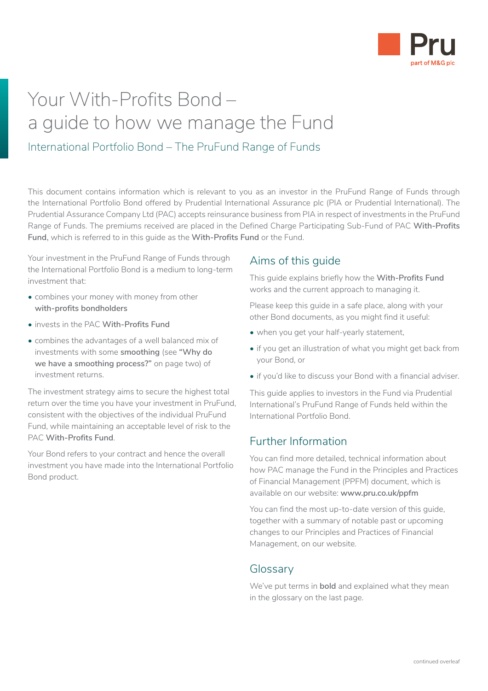

# Your With-Profits Bond – a guide to how we manage the Fund International Portfolio Bond – The PruFund Range of Funds

This document contains information which is relevant to you as an investor in the PruFund Range of Funds through the International Portfolio Bond offered by Prudential International Assurance plc (PIA or Prudential International). The Prudential Assurance Company Ltd (PAC) accepts reinsurance business from PIA in respect of investments in the PruFund Range of Funds. The premiums received are placed in the Defined Charge Participating Sub-Fund of PAC **With-Profits Fund**, which is referred to in this guide as the **With-Profits Fund** or the Fund.

Your investment in the PruFund Range of Funds through the International Portfolio Bond is a medium to long-term investment that:

- combines your money with money from other **with-profits bondholders**
- invests in the PAC **With-Profits Fund**
- combines the advantages of a well balanced mix of investments with some **smoothing** (see **"Why do we have a smoothing process?"** on page two) of investment returns.

The investment strategy aims to secure the highest total return over the time you have your investment in PruFund, consistent with the objectives of the individual PruFund Fund, while maintaining an acceptable level of risk to the PAC **With-Profits Fund**.

Your Bond refers to your contract and hence the overall investment you have made into the International Portfolio Bond product.

### Aims of this guide

This guide explains briefly how the **With-Profits Fund**  works and the current approach to managing it.

Please keep this guide in a safe place, along with your other Bond documents, as you might find it useful:

- when you get your half-yearly statement,
- if you get an illustration of what you might get back from your Bond, or
- if you'd like to discuss your Bond with a financial adviser.

This guide applies to investors in the Fund via Prudential International's PruFund Range of Funds held within the International Portfolio Bond.

### Further Information

You can find more detailed, technical information about how PAC manage the Fund in the Principles and Practices of Financial Management (PPFM) document, which is available on our website: **[www.pru.co.uk/ppfm](https://www.pru.co.uk/funds/ppfm/?utm_source=redirect&utm_medium=301&utm_campaign=/ppfm/)**

You can find the most up-to-date version of this guide, together with a summary of notable past or upcoming changes to our Principles and Practices of Financial Management, on our website.

### Glossary

We've put terms in **bold** and explained what they mean in the glossary on the last page.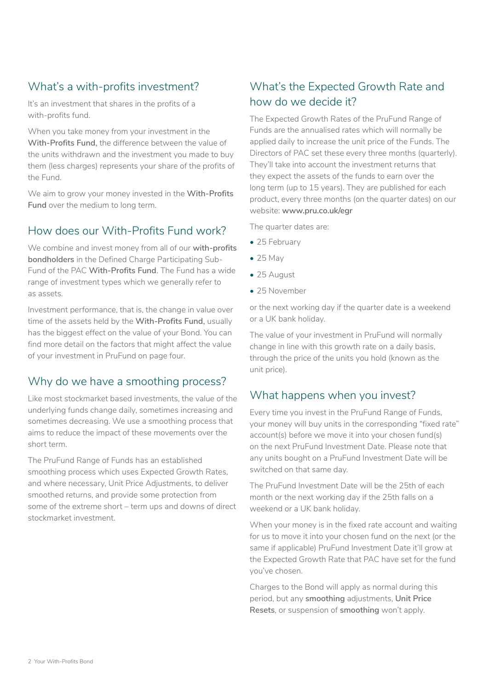### What's a with-profits investment?

It's an investment that shares in the profits of a with-profits fund.

When you take money from your investment in the **With-Profits Fund**, the difference between the value of the units withdrawn and the investment you made to buy them (less charges) represents your share of the profits of the Fund.

We aim to grow your money invested in the **With-Profits Fund** over the medium to long term.

### How does our With-Profits Fund work?

We combine and invest money from all of our **with-profits bondholders** in the Defined Charge Participating Sub-Fund of the PAC **With-Profits Fund**. The Fund has a wide range of investment types which we generally refer to as assets.

Investment performance, that is, the change in value over time of the assets held by the **With-Profits Fund**, usually has the biggest effect on the value of your Bond. You can find more detail on the factors that might affect the value of your investment in PruFund on page four.

### Why do we have a smoothing process?

Like most stockmarket based investments, the value of the underlying funds change daily, sometimes increasing and sometimes decreasing. We use a smoothing process that aims to reduce the impact of these movements over the short term.

The PruFund Range of Funds has an established smoothing process which uses Expected Growth Rates, and where necessary, Unit Price Adjustments, to deliver smoothed returns, and provide some protection from some of the extreme short – term ups and downs of direct stockmarket investment.

# What's the Expected Growth Rate and how do we decide it?

The Expected Growth Rates of the PruFund Range of Funds are the annualised rates which will normally be applied daily to increase the unit price of the Funds. The Directors of PAC set these every three months (quarterly). They'll take into account the investment returns that they expect the assets of the funds to earn over the long term (up to 15 years). They are published for each product, every three months (on the quarter dates) on our website: **[www.pru.co.uk/egr](https://www.pru.co.uk/investments/investment-fund-range/prufund-range/?utm_source=redirect&utm_medium=301&utm_campaign=/egr/)**

The quarter dates are:

- 25 February
- 25 May
- 25 August
- 25 November

or the next working day if the quarter date is a weekend or a UK bank holiday.

The value of your investment in PruFund will normally change in line with this growth rate on a daily basis, through the price of the units you hold (known as the unit price).

### What happens when you invest?

Every time you invest in the PruFund Range of Funds, your money will buy units in the corresponding "fixed rate" account(s) before we move it into your chosen fund(s) on the next PruFund Investment Date. Please note that any units bought on a PruFund Investment Date will be switched on that same day.

The PruFund Investment Date will be the 25th of each month or the next working day if the 25th falls on a weekend or a UK bank holiday.

When your money is in the fixed rate account and waiting for us to move it into your chosen fund on the next (or the same if applicable) PruFund Investment Date it'll grow at the Expected Growth Rate that PAC have set for the fund you've chosen.

Charges to the Bond will apply as normal during this period, but any **smoothing** adjustments, **Unit Price Resets**, or suspension of **smoothing** won't apply.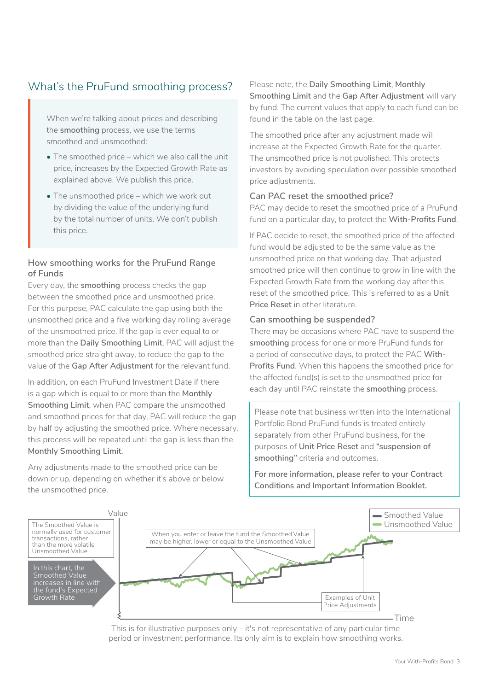# What's the PruFund smoothing process?

When we're talking about prices and describing the **smoothing** process, we use the terms smoothed and unsmoothed:

- The smoothed price which we also call the unit price, increases by the Expected Growth Rate as explained above. We publish this price.
- The unsmoothed price which we work out by dividing the value of the underlying fund by the total number of units. We don't publish this price.

#### **How smoothing works for the PruFund Range of Funds**

Every day, the **smoothing** process checks the gap between the smoothed price and unsmoothed price. For this purpose, PAC calculate the gap using both the unsmoothed price and a five working day rolling average of the unsmoothed price. If the gap is ever equal to or more than the **Daily Smoothing Limit**, PAC will adjust the smoothed price straight away, to reduce the gap to the value of the **Gap After Adjustment** for the relevant fund.

In addition, on each PruFund Investment Date if there is a gap which is equal to or more than the **Monthly Smoothing Limit**, when PAC compare the unsmoothed and smoothed prices for that day, PAC will reduce the gap by half by adjusting the smoothed price. Where necessary, this process will be repeated until the gap is less than the **Monthly Smoothing Limit**.

Any adjustments made to the smoothed price can be down or up, depending on whether it's above or below the unsmoothed price.

#### Please note, the **Daily Smoothing Limit**, **Monthly Smoothing Limit** and the **Gap After Adjustment** will vary by fund. The current values that apply to each fund can be found in the table on the last page.

The smoothed price after any adjustment made will increase at the Expected Growth Rate for the quarter. The unsmoothed price is not published. This protects investors by avoiding speculation over possible smoothed price adjustments.

#### **Can PAC reset the smoothed price?**

PAC may decide to reset the smoothed price of a PruFund fund on a particular day, to protect the **With-Profits Fund**.

If PAC decide to reset, the smoothed price of the affected fund would be adjusted to be the same value as the unsmoothed price on that working day. That adjusted smoothed price will then continue to grow in line with the Expected Growth Rate from the working day after this reset of the smoothed price. This is referred to as a **Unit Price Reset** in other literature.

#### **Can smoothing be suspended?**

There may be occasions where PAC have to suspend the **smoothing** process for one or more PruFund funds for a period of consecutive days, to protect the PAC **With-Profits Fund**. When this happens the smoothed price for the affected fund(s) is set to the unsmoothed price for each day until PAC reinstate the **smoothing** process.

Please note that business written into the International Portfolio Bond PruFund funds is treated entirely separately from other PruFund business, for the purposes of **Unit Price Reset** and **"suspension of smoothing"** criteria and outcomes.

**For more information, please refer to your Contract Conditions and Important Information Booklet.**



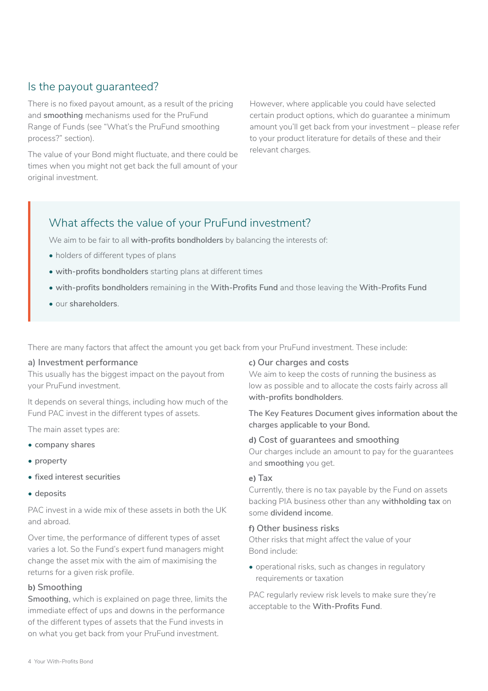### Is the payout guaranteed?

There is no fixed payout amount, as a result of the pricing and **smoothing** mechanisms used for the PruFund Range of Funds (see "What's the PruFund smoothing process?" section).

The value of your Bond might fluctuate, and there could be times when you might not get back the full amount of your original investment.

However, where applicable you could have selected certain product options, which do guarantee a minimum amount you'll get back from your investment – please refer to your product literature for details of these and their relevant charges.

### What affects the value of your PruFund investment?

We aim to be fair to all **with-profits bondholders** by balancing the interests of:

- holders of different types of plans
- **with-profits bondholders** starting plans at different times
- **with-profits bondholders** remaining in the **With-Profits Fund** and those leaving the **With-Profits Fund**
- our **shareholders**.

There are many factors that affect the amount you get back from your PruFund investment. These include:

#### **a) Investment performance**

This usually has the biggest impact on the payout from your PruFund investment.

It depends on several things, including how much of the Fund PAC invest in the different types of assets.

The main asset types are:

- **company shares**
- **property**
- **fixed interest securities**
- **deposits**

PAC invest in a wide mix of these assets in both the UK and abroad.

Over time, the performance of different types of asset varies a lot. So the Fund's expert fund managers might change the asset mix with the aim of maximising the returns for a given risk profile.

#### b) **Smoothing**

**Smoothing**, which is explained on page three, limits the immediate effect of ups and downs in the performance of the different types of assets that the Fund invests in on what you get back from your PruFund investment.

#### c) **Our charges and costs**

We aim to keep the costs of running the business as low as possible and to allocate the costs fairly across all **with-profits bondholders**.

#### **The Key Features Document gives information about the charges applicable to your Bond.**

#### d) **Cost of guarantees and smoothing**

Our charges include an amount to pay for the guarantees and **smoothing** you get.

#### e) **Tax**

Currently, there is no tax payable by the Fund on assets backing PIA business other than any **withholding tax** on some **dividend income**.

#### f) **Other business risks**

Other risks that might affect the value of your Bond include:

• operational risks, such as changes in regulatory requirements or taxation

PAC regularly review risk levels to make sure they're acceptable to the **With-Profits Fund**.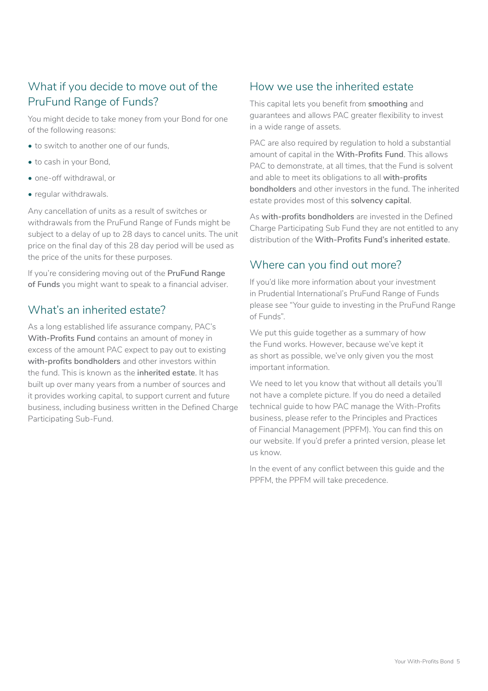# What if you decide to move out of the PruFund Range of Funds?

You might decide to take money from your Bond for one of the following reasons:

- to switch to another one of our funds,
- to cash in your Bond,
- one-off withdrawal, or
- regular withdrawals.

Any cancellation of units as a result of switches or withdrawals from the PruFund Range of Funds might be subject to a delay of up to 28 days to cancel units. The unit price on the final day of this 28 day period will be used as the price of the units for these purposes.

If you're considering moving out of the **PruFund Range of Funds** you might want to speak to a financial adviser.

### What's an inherited estate?

As a long established life assurance company, PAC's **With-Profits Fund** contains an amount of money in excess of the amount PAC expect to pay out to existing **with-profits bondholders** and other investors within the fund. This is known as the **inherited estate**. It has built up over many years from a number of sources and it provides working capital, to support current and future business, including business written in the Defined Charge Participating Sub-Fund.

### How we use the inherited estate

This capital lets you benefit from **smoothing** and guarantees and allows PAC greater flexibility to invest in a wide range of assets.

PAC are also required by regulation to hold a substantial amount of capital in the **With-Profits Fund**. This allows PAC to demonstrate, at all times, that the Fund is solvent and able to meet its obligations to all **with-profits bondholders** and other investors in the fund. The inherited estate provides most of this **solvency capital**.

As **with-profits bondholders** are invested in the Defined Charge Participating Sub Fund they are not entitled to any distribution of the **With-Profits Fund's inherited estate**.

### Where can you find out more?

If you'd like more information about your investment in Prudential International's PruFund Range of Funds please see "Your guide to investing in the PruFund Range of Funds".

We put this guide together as a summary of how the Fund works. However, because we've kept it as short as possible, we've only given you the most important information.

We need to let you know that without all details you'll not have a complete picture. If you do need a detailed technical guide to how PAC manage the With-Profits business, please refer to the Principles and Practices of Financial Management (PPFM). You can find this on our website. If you'd prefer a printed version, please let us know.

In the event of any conflict between this guide and the PPFM, the PPFM will take precedence.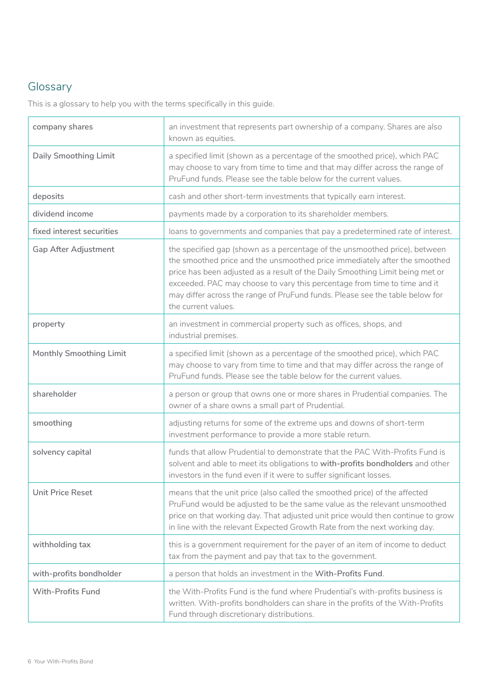# Glossary

This is a glossary to help you with the terms specifically in this guide.

| company shares               | an investment that represents part ownership of a company. Shares are also<br>known as equities.                                                                                                                                                                                                                                                                                                                              |
|------------------------------|-------------------------------------------------------------------------------------------------------------------------------------------------------------------------------------------------------------------------------------------------------------------------------------------------------------------------------------------------------------------------------------------------------------------------------|
| <b>Daily Smoothing Limit</b> | a specified limit (shown as a percentage of the smoothed price), which PAC<br>may choose to vary from time to time and that may differ across the range of<br>PruFund funds. Please see the table below for the current values.                                                                                                                                                                                               |
| deposits                     | cash and other short-term investments that typically earn interest.                                                                                                                                                                                                                                                                                                                                                           |
| dividend income              | payments made by a corporation to its shareholder members.                                                                                                                                                                                                                                                                                                                                                                    |
| fixed interest securities    | loans to governments and companies that pay a predetermined rate of interest.                                                                                                                                                                                                                                                                                                                                                 |
| <b>Gap After Adjustment</b>  | the specified gap (shown as a percentage of the unsmoothed price), between<br>the smoothed price and the unsmoothed price immediately after the smoothed<br>price has been adjusted as a result of the Daily Smoothing Limit being met or<br>exceeded. PAC may choose to vary this percentage from time to time and it<br>may differ across the range of PruFund funds. Please see the table below for<br>the current values. |
| property                     | an investment in commercial property such as offices, shops, and<br>industrial premises.                                                                                                                                                                                                                                                                                                                                      |
| Monthly Smoothing Limit      | a specified limit (shown as a percentage of the smoothed price), which PAC<br>may choose to vary from time to time and that may differ across the range of<br>PruFund funds. Please see the table below for the current values.                                                                                                                                                                                               |
| shareholder                  | a person or group that owns one or more shares in Prudential companies. The<br>owner of a share owns a small part of Prudential.                                                                                                                                                                                                                                                                                              |
| smoothing                    | adjusting returns for some of the extreme ups and downs of short-term<br>investment performance to provide a more stable return.                                                                                                                                                                                                                                                                                              |
| solvency capital             | funds that allow Prudential to demonstrate that the PAC With-Profits Fund is<br>solvent and able to meet its obligations to with-profits bondholders and other<br>investors in the fund even if it were to suffer significant losses.                                                                                                                                                                                         |
| <b>Unit Price Reset</b>      | means that the unit price (also called the smoothed price) of the affected<br>PruFund would be adjusted to be the same value as the relevant unsmoothed<br>price on that working day. That adjusted unit price would then continue to grow<br>in line with the relevant Expected Growth Rate from the next working day.                                                                                                       |
| withholding tax              | this is a government requirement for the payer of an item of income to deduct<br>tax from the payment and pay that tax to the government.                                                                                                                                                                                                                                                                                     |
| with-profits bondholder      | a person that holds an investment in the With-Profits Fund.                                                                                                                                                                                                                                                                                                                                                                   |
| <b>With-Profits Fund</b>     | the With-Profits Fund is the fund where Prudential's with-profits business is<br>written. With-profits bondholders can share in the profits of the With-Profits<br>Fund through discretionary distributions.                                                                                                                                                                                                                  |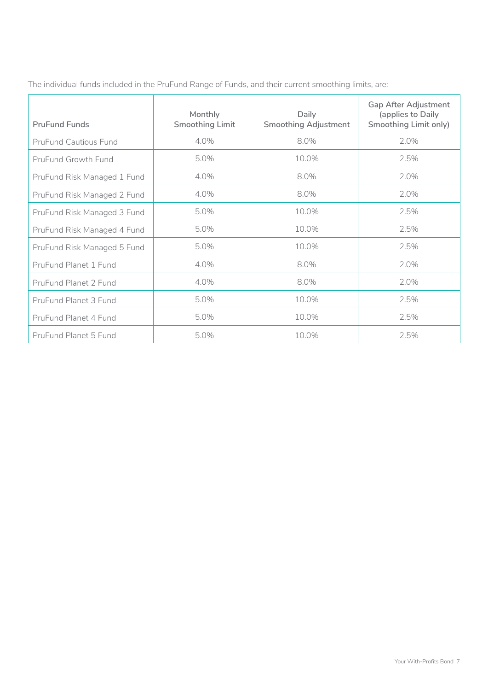|  |  | The individual funds included in the PruFund Range of Funds, and their current smoothing limits, are:                                                                                                                                     |
|--|--|-------------------------------------------------------------------------------------------------------------------------------------------------------------------------------------------------------------------------------------------|
|  |  | $\mathcal{L}_{\mathcal{A}}$ , and a set of the set of the set of the set of the set of the set of the set of the set of the set of the set of the set of the set of the set of the set of the set of the set of the set of the set of the |

| <b>PruFund Funds</b>         | Monthly<br><b>Smoothing Limit</b> | Daily<br><b>Smoothing Adjustment</b> | <b>Gap After Adjustment</b><br>(applies to Daily<br>Smoothing Limit only) |
|------------------------------|-----------------------------------|--------------------------------------|---------------------------------------------------------------------------|
| <b>PruFund Cautious Fund</b> | 4.0%                              | 8.0%                                 | 2.0%                                                                      |
| PruFund Growth Fund          | 5.0%                              | 10.0%                                | 2.5%                                                                      |
| PruFund Risk Managed 1 Fund  | 4.0%                              | 8.0%                                 | 2.0%                                                                      |
| PruFund Risk Managed 2 Fund  | 4.0%                              | 8.0%                                 | 2.0%                                                                      |
| PruFund Risk Managed 3 Fund  | 5.0%                              | 10.0%                                | 2.5%                                                                      |
| PruFund Risk Managed 4 Fund  | 5.0%                              | 10.0%                                | 2.5%                                                                      |
| PruFund Risk Managed 5 Fund  | 5.0%                              | 10.0%                                | 2.5%                                                                      |
| PruFund Planet 1 Fund        | 4.0%                              | 8.0%                                 | 2.0%                                                                      |
| PruFund Planet 2 Fund        | 4.0%                              | 8.0%                                 | 2.0%                                                                      |
| PruFund Planet 3 Fund        | 5.0%                              | 10.0%                                | 2.5%                                                                      |
| PruFund Planet 4 Fund        | 5.0%                              | 10.0%                                | 2.5%                                                                      |
| PruFund Planet 5 Fund        | 5.0%                              | 10.0%                                | 2.5%                                                                      |